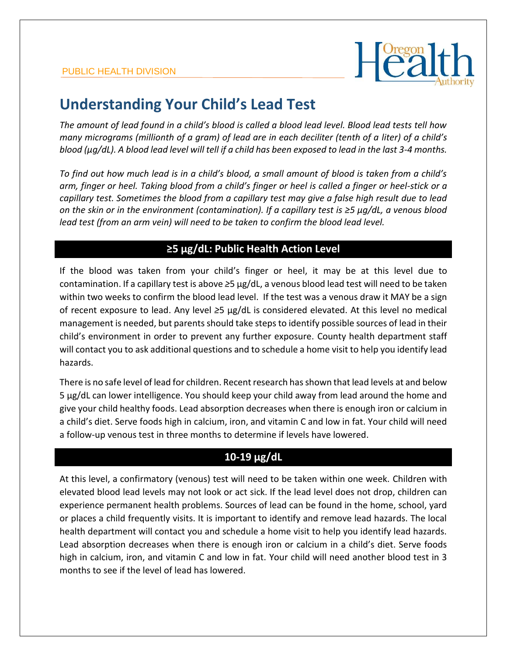

# **Understanding Your Child's Lead Test**

*The amount of lead found in a child's blood is called a blood lead level. Blood lead tests tell how many micrograms (millionth of a gram) of lead are in each deciliter (tenth of a liter) of a child's blood (µg/dL). A blood lead level will tell if a child has been exposed to lead in the last 3-4 months.*

*To find out how much lead is in a child's blood, a small amount of blood is taken from a child's arm, finger or heel. Taking blood from a child's finger or heel is called a finger or heel-stick or a capillary test. Sometimes the blood from a capillary test may give a false high result due to lead on the skin or in the environment (contamination). If a capillary test is ≥5 µg/dL, a venous blood*  lead test (from an arm vein) will need to be taken to confirm the blood lead level.

## **≥5 µg/dL: Public Health Action Level**

If the blood was taken from your child's finger or heel, it may be at this level due to contamination. If a capillary test is above *≥*5 µg/dL, a venous blood lead test will need to be taken within two weeks to confirm the blood lead level. If the test was a venous draw it MAY be a sign of recent exposure to lead. Any level *≥*5 µg/dL is considered elevated. At this level no medical management is needed, but parents should take steps to identify possible sources of lead in their child's environment in order to prevent any further exposure. County health department staff will contact you to ask additional questions and to schedule a home visit to help you identify lead hazards.

There is no safe level of lead for children. Recent research has shown that lead levels at and below 5 µg/dL can lower intelligence. You should keep your child away from lead around the home and give your child healthy foods. Lead absorption decreases when there is enough iron or calcium in a child's diet. Serve foods high in calcium, iron, and vitamin C and low in fat. Your child will need a follow-up venous test in three months to determine if levels have lowered.

### **10-19 µg/dL**

At this level, a confirmatory (venous) test will need to be taken within one week. Children with elevated blood lead levels may not look or act sick. If the lead level does not drop, children can experience permanent health problems. Sources of lead can be found in the home, school, yard or places a child frequently visits. It is important to identify and remove lead hazards. The local health department will contact you and schedule a home visit to help you identify lead hazards. Lead absorption decreases when there is enough iron or calcium in a child's diet. Serve foods high in calcium, iron, and vitamin C and low in fat. Your child will need another blood test in 3 months to see if the level of lead has lowered.